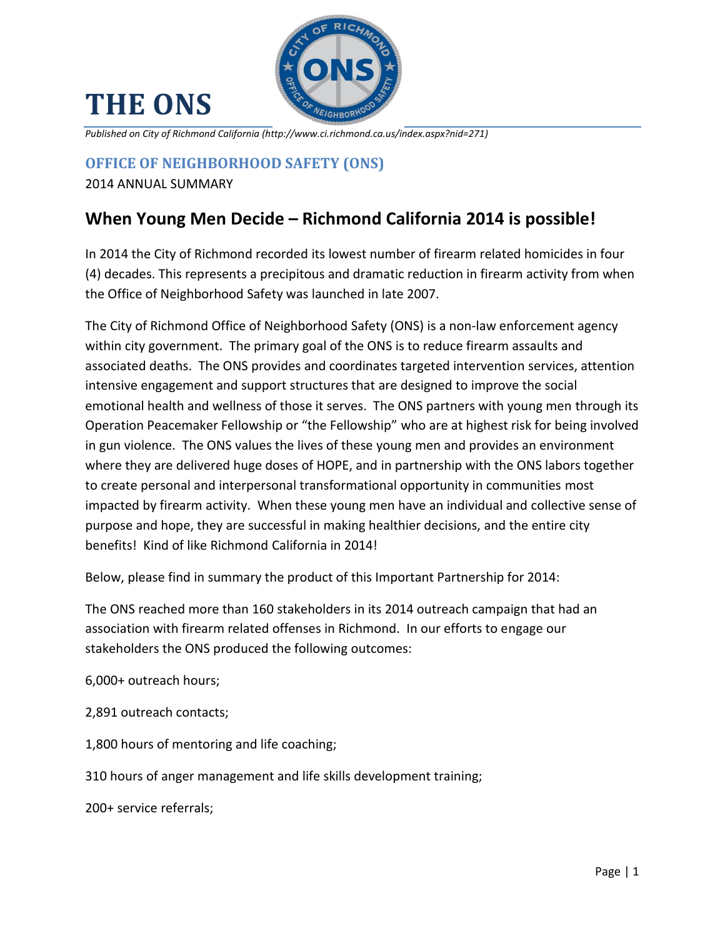

## **THE ONS**

*Published on City of Richmond California (http://www.ci.richmond.ca.us/index.aspx?nid=271)*

## **OFFICE OF NEIGHBORHOOD SAFETY (ONS)**

2014 ANNUAL SUMMARY

## **When Young Men Decide – Richmond California 2014 is possible!**

In 2014 the City of Richmond recorded its lowest number of firearm related homicides in four (4) decades. This represents a precipitous and dramatic reduction in firearm activity from when the Office of Neighborhood Safety was launched in late 2007.

The City of Richmond Office of Neighborhood Safety (ONS) is a non-law enforcement agency within city government. The primary goal of the ONS is to reduce firearm assaults and associated deaths. The ONS provides and coordinates targeted intervention services, attention intensive engagement and support structures that are designed to improve the social emotional health and wellness of those it serves. The ONS partners with young men through its Operation Peacemaker Fellowship or "the Fellowship" who are at highest risk for being involved in gun violence. The ONS values the lives of these young men and provides an environment where they are delivered huge doses of HOPE, and in partnership with the ONS labors together to create personal and interpersonal transformational opportunity in communities most impacted by firearm activity. When these young men have an individual and collective sense of purpose and hope, they are successful in making healthier decisions, and the entire city benefits! Kind of like Richmond California in 2014!

Below, please find in summary the product of this Important Partnership for 2014:

The ONS reached more than 160 stakeholders in its 2014 outreach campaign that had an association with firearm related offenses in Richmond. In our efforts to engage our stakeholders the ONS produced the following outcomes:

6,000+ outreach hours;

2,891 outreach contacts;

1,800 hours of mentoring and life coaching;

310 hours of anger management and life skills development training;

200+ service referrals;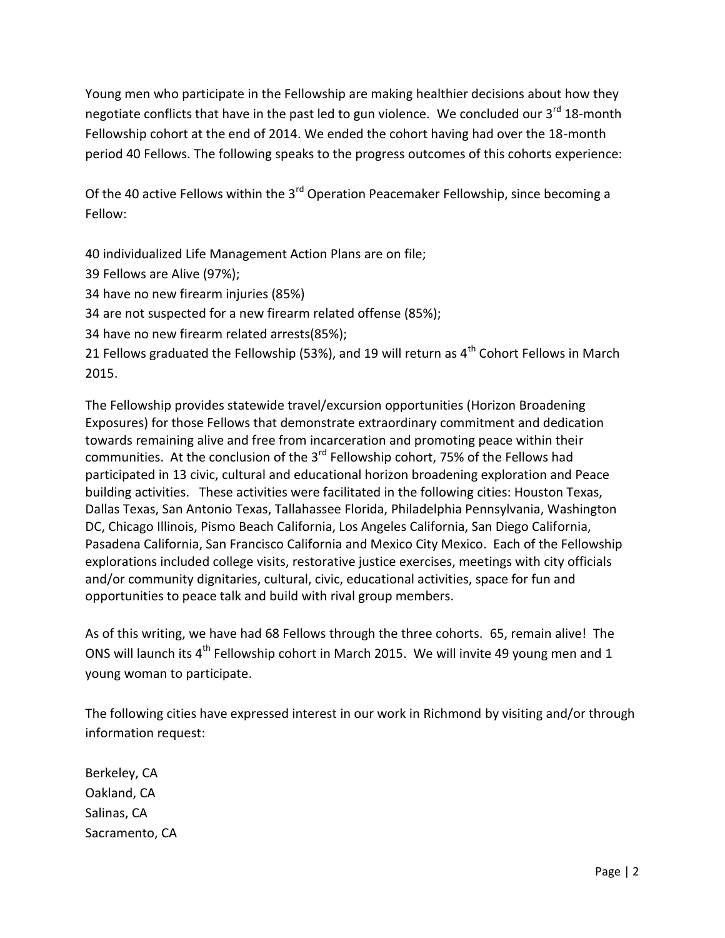Young men who participate in the Fellowship are making healthier decisions about how they negotiate conflicts that have in the past led to gun violence. We concluded our 3<sup>rd</sup> 18-month Fellowship cohort at the end of 2014. We ended the cohort having had over the 18-month period 40 Fellows. The following speaks to the progress outcomes of this cohorts experience:

Of the 40 active Fellows within the 3<sup>rd</sup> Operation Peacemaker Fellowship, since becoming a Fellow:

40 individualized Life Management Action Plans are on file;

39 Fellows are Alive (97%);

34 have no new firearm injuries (85%)

34 are not suspected for a new firearm related offense (85%);

34 have no new firearm related arrests(85%);

21 Fellows graduated the Fellowship (53%), and 19 will return as  $4<sup>th</sup>$  Cohort Fellows in March 2015.

The Fellowship provides statewide travel/excursion opportunities (Horizon Broadening Exposures) for those Fellows that demonstrate extraordinary commitment and dedication towards remaining alive and free from incarceration and promoting peace within their communities. At the conclusion of the 3<sup>rd</sup> Fellowship cohort, 75% of the Fellows had participated in 13 civic, cultural and educational horizon broadening exploration and Peace building activities. These activities were facilitated in the following cities: Houston Texas, Dallas Texas, San Antonio Texas, Tallahassee Florida, Philadelphia Pennsylvania, Washington DC, Chicago Illinois, Pismo Beach California, Los Angeles California, San Diego California, Pasadena California, San Francisco California and Mexico City Mexico. Each of the Fellowship explorations included college visits, restorative justice exercises, meetings with city officials and/or community dignitaries, cultural, civic, educational activities, space for fun and opportunities to peace talk and build with rival group members.

As of this writing, we have had 68 Fellows through the three cohorts. 65, remain alive! The ONS will launch its  $4^{th}$  Fellowship cohort in March 2015. We will invite 49 young men and 1 young woman to participate.

The following cities have expressed interest in our work in Richmond by visiting and/or through information request:

Berkeley, CA Oakland, CA Salinas, CA Sacramento, CA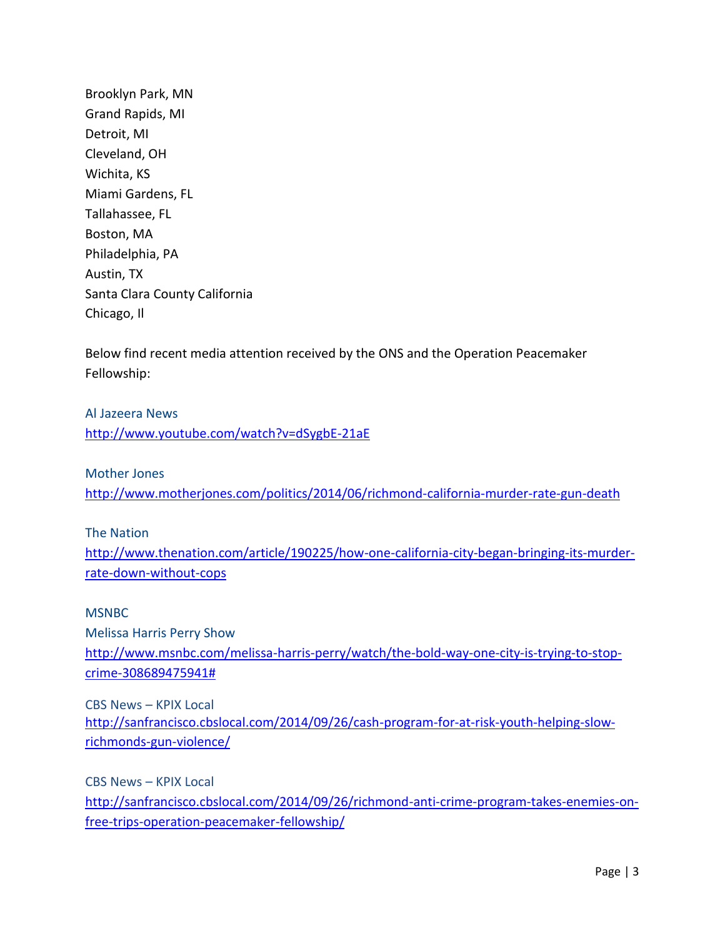Brooklyn Park, MN Grand Rapids, MI Detroit, MI Cleveland, OH Wichita, KS Miami Gardens, FL Tallahassee, FL Boston, MA Philadelphia, PA Austin, TX Santa Clara County California Chicago, Il

Below find recent media attention received by the ONS and the Operation Peacemaker Fellowship:

Al Jazeera News <http://www.youtube.com/watch?v=dSygbE-21aE>

Mother Jones

<http://www.motherjones.com/politics/2014/06/richmond-california-murder-rate-gun-death>

The Nation

[http://www.thenation.com/article/190225/how-one-california-city-began-bringing-its-murder](http://www.thenation.com/article/190225/how-one-california-city-began-bringing-its-murder-rate-down-without-cops)[rate-down-without-cops](http://www.thenation.com/article/190225/how-one-california-city-began-bringing-its-murder-rate-down-without-cops)

**MSNBC** 

Melissa Harris Perry Show [http://www.msnbc.com/melissa-harris-perry/watch/the-bold-way-one-city-is-trying-to-stop](http://www.msnbc.com/melissa-harris-perry/watch/the-bold-way-one-city-is-trying-to-stop-crime-308689475941)[crime-308689475941#](http://www.msnbc.com/melissa-harris-perry/watch/the-bold-way-one-city-is-trying-to-stop-crime-308689475941)

CBS News – KPIX Local [http://sanfrancisco.cbslocal.com/2014/09/26/cash-program-for-at-risk-youth-helping-slow](http://sanfrancisco.cbslocal.com/2014/09/26/cash-program-for-at-risk-youth-helping-slow-richmonds-gun-violence/)[richmonds-gun-violence/](http://sanfrancisco.cbslocal.com/2014/09/26/cash-program-for-at-risk-youth-helping-slow-richmonds-gun-violence/)

CBS News – KPIX Local [http://sanfrancisco.cbslocal.com/2014/09/26/richmond-anti-crime-program-takes-enemies-on](http://sanfrancisco.cbslocal.com/2014/09/26/richmond-anti-crime-program-takes-enemies-on-free-trips-operation-peacemaker-fellowship/)[free-trips-operation-peacemaker-fellowship/](http://sanfrancisco.cbslocal.com/2014/09/26/richmond-anti-crime-program-takes-enemies-on-free-trips-operation-peacemaker-fellowship/)